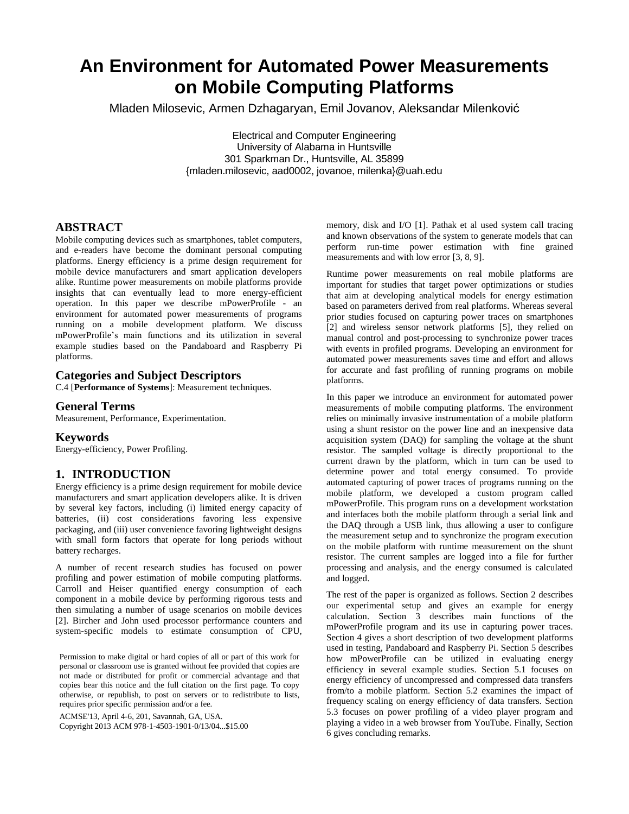# **An Environment for Automated Power Measurements on Mobile Computing Platforms**

Mladen Milosevic, Armen Dzhagaryan, Emil Jovanov, Aleksandar Milenković

Electrical and Computer Engineering University of Alabama in Huntsville 301 Sparkman Dr., Huntsville, AL 35899 {mladen.milosevic, aad0002, jovanoe, milenka}@uah.edu

## **ABSTRACT**

Mobile computing devices such as smartphones, tablet computers, and e-readers have become the dominant personal computing platforms. Energy efficiency is a prime design requirement for mobile device manufacturers and smart application developers alike. Runtime power measurements on mobile platforms provide insights that can eventually lead to more energy-efficient operation. In this paper we describe mPowerProfile - an environment for automated power measurements of programs running on a mobile development platform. We discuss mPowerProfile's main functions and its utilization in several example studies based on the Pandaboard and Raspberry Pi platforms.

## **Categories and Subject Descriptors**

C.4 [**Performance of Systems**]: Measurement techniques.

### **General Terms**

Measurement, Performance, Experimentation.

#### **Keywords**

Energy-efficiency, Power Profiling.

## **1. INTRODUCTION**

Energy efficiency is a prime design requirement for mobile device manufacturers and smart application developers alike. It is driven by several key factors, including (i) limited energy capacity of batteries, (ii) cost considerations favoring less expensive packaging, and (iii) user convenience favoring lightweight designs with small form factors that operate for long periods without battery recharges.

A number of recent research studies has focused on power profiling and power estimation of mobile computing platforms. Carroll and Heiser quantified energy consumption of each component in a mobile device by performing rigorous tests and then simulating a number of usage scenarios on mobile devices [2]. Bircher and John used processor performance counters and system-specific models to estimate consumption of CPU,

Permission to make digital or hard copies of all or part of this work for personal or classroom use is granted without fee provided that copies are not made or distributed for profit or commercial advantage and that copies bear this notice and the full citation on the first page. To copy otherwise, or republish, to post on servers or to redistribute to lists, requires prior specific permission and/or a fee.

ACMSE'13, April 4-6, 201, Savannah, GA, USA.

Copyright 2013 ACM 978-1-4503-1901-0/13/04...\$15.00

memory, disk and I/O [1]. Pathak et al used system call tracing and known observations of the system to generate models that can perform run-time power estimation with fine grained measurements and with low error [3, 8, 9].

Runtime power measurements on real mobile platforms are important for studies that target power optimizations or studies that aim at developing analytical models for energy estimation based on parameters derived from real platforms. Whereas several prior studies focused on capturing power traces on smartphones [2] and wireless sensor network platforms [5], they relied on manual control and post-processing to synchronize power traces with events in profiled programs. Developing an environment for automated power measurements saves time and effort and allows for accurate and fast profiling of running programs on mobile platforms.

In this paper we introduce an environment for automated power measurements of mobile computing platforms. The environment relies on minimally invasive instrumentation of a mobile platform using a shunt resistor on the power line and an inexpensive data acquisition system (DAQ) for sampling the voltage at the shunt resistor. The sampled voltage is directly proportional to the current drawn by the platform, which in turn can be used to determine power and total energy consumed. To provide automated capturing of power traces of programs running on the mobile platform, we developed a custom program called mPowerProfile. This program runs on a development workstation and interfaces both the mobile platform through a serial link and the DAQ through a USB link, thus allowing a user to configure the measurement setup and to synchronize the program execution on the mobile platform with runtime measurement on the shunt resistor. The current samples are logged into a file for further processing and analysis, and the energy consumed is calculated and logged.

The rest of the paper is organized as follows. Section 2 describes our experimental setup and gives an example for energy calculation. Section 3 describes main functions of the mPowerProfile program and its use in capturing power traces. Section 4 gives a short description of two development platforms used in testing, Pandaboard and Raspberry Pi. Section 5 describes how mPowerProfile can be utilized in evaluating energy efficiency in several example studies. Section 5.1 focuses on energy efficiency of uncompressed and compressed data transfers from/to a mobile platform. Section 5.2 examines the impact of frequency scaling on energy efficiency of data transfers. Section 5.3 focuses on power profiling of a video player program and playing a video in a web browser from YouTube. Finally, Section 6 gives concluding remarks.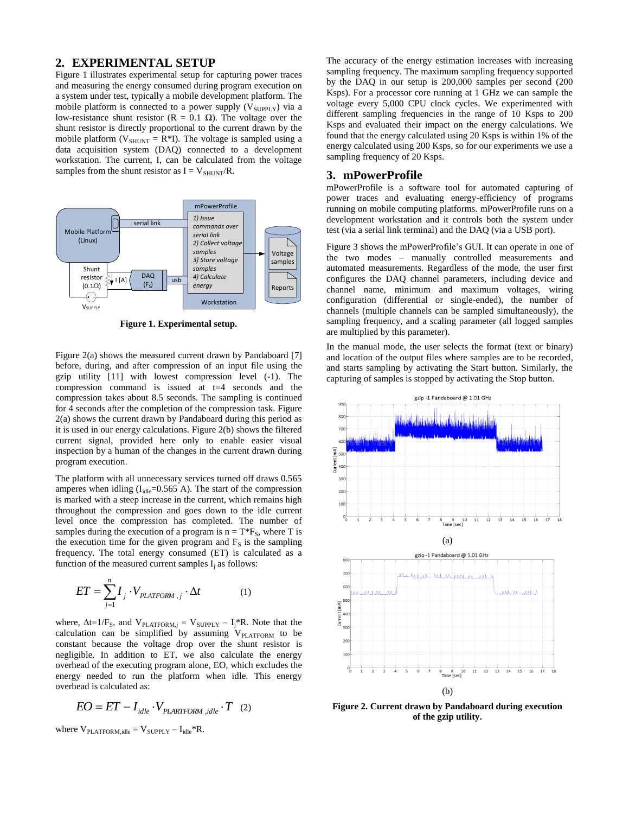#### **2. EXPERIMENTAL SETUP**

[Figure 1](#page-1-0) illustrates experimental setup for capturing power traces and measuring the energy consumed during program execution on a system under test, typically a mobile development platform. The mobile platform is connected to a power supply  $(V_{\text{SUPPLY}})$  via a low-resistance shunt resistor (R = 0.1 Ω). The voltage over the shunt resistor is directly proportional to the current drawn by the mobile platform ( $V_{SHUNT} = R*I$ ). The voltage is sampled using a data acquisition system (DAQ) connected to a development workstation. The current, I, can be calculated from the voltage samples from the shunt resistor as  $I = V_{SHUNT}/R$ .



**Figure 1. Experimental setup.**

<span id="page-1-0"></span>[Figure 2\(](#page-1-1)a) shows the measured current drawn by Pandaboard [7] before, during, and after compression of an input file using the gzip utility [11] with lowest compression level (-1). The compression command is issued at t=4 seconds and the compression takes about 8.5 seconds. The sampling is continued for 4 seconds after the completion of the compression task. [Figure](#page-1-1)  [2\(](#page-1-1)a) shows the current drawn by Pandaboard during this period as it is used in our energy calculations[. Figure 2\(](#page-1-1)b) shows the filtered current signal, provided here only to enable easier visual inspection by a human of the changes in the current drawn during program execution.

The platform with all unnecessary services turned off draws 0.565 amperes when idling  $(I_{idle}=0.565 \text{ A})$ . The start of the compression is marked with a steep increase in the current, which remains high throughout the compression and goes down to the idle current level once the compression has completed. The number of samples during the execution of a program is  $n = T^*F_s$ , where T is the execution time for the given program and  $F<sub>S</sub>$  is the sampling frequency. The total energy consumed (ET) is calculated as a function of the measured current samples  $I_i$  as follows:

$$
ET = \sum_{j=1}^{n} I_j \cdot V_{PLATFORM,j} \cdot \Delta t \tag{1}
$$

where,  $\Delta t=1/F_S$ , and  $V_{\text{PLATFORM},j} = V_{\text{SUPPLY}} - I_j^*R$ . Note that the calculation can be simplified by assuming  $V_{PLATFORM}$  to be constant because the voltage drop over the shunt resistor is negligible. In addition to ET, we also calculate the energy overhead of the executing program alone, EO, which excludes the energy needed to run the platform when idle. This energy overhead is calculated as:

$$
EO = ET - Iidle \cdot VPLARTFORM, idle \cdot T
$$
 (2)

where  $V_{\text{PLATFORM},idle} = V_{\text{SUPPLY}} - I_{idle} * R$ .

The accuracy of the energy estimation increases with increasing sampling frequency. The maximum sampling frequency supported by the DAQ in our setup is 200,000 samples per second (200 Ksps). For a processor core running at 1 GHz we can sample the voltage every 5,000 CPU clock cycles. We experimented with different sampling frequencies in the range of 10 Ksps to 200 Ksps and evaluated their impact on the energy calculations. We found that the energy calculated using 20 Ksps is within 1% of the energy calculated using 200 Ksps, so for our experiments we use a sampling frequency of 20 Ksps.

#### **3. mPowerProfile**

mPowerProfile is a software tool for automated capturing of power traces and evaluating energy-efficiency of programs running on mobile computing platforms. mPowerProfile runs on a development workstation and it controls both the system under test (via a serial link terminal) and the DAQ (via a USB port).

[Figure 3](#page-2-0) shows the mPowerProfile's GUI. It can operate in one of the two modes – manually controlled measurements and automated measurements. Regardless of the mode, the user first configures the DAQ channel parameters, including device and channel name, minimum and maximum voltages, wiring configuration (differential or single-ended), the number of channels (multiple channels can be sampled simultaneously), the sampling frequency, and a scaling parameter (all logged samples are multiplied by this parameter).

In the manual mode, the user selects the format (text or binary) and location of the output files where samples are to be recorded, and starts sampling by activating the Start button. Similarly, the capturing of samples is stopped by activating the Stop button.



<span id="page-1-1"></span>**Figure 2. Current drawn by Pandaboard during execution of the gzip utility.**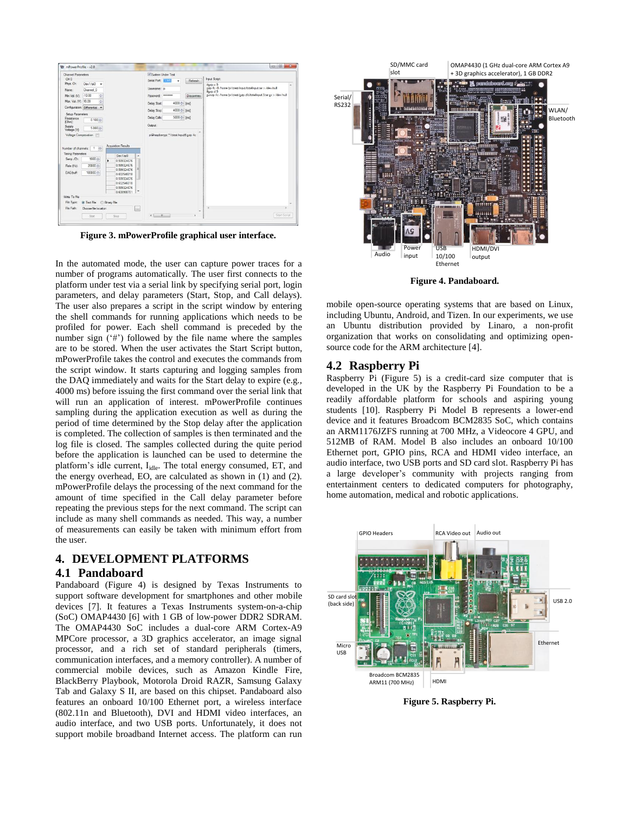| Channel Parameters                                                                                              |                                                          |                         |                                                                                                                                  |                         | V System Linder Test                                                                             |  |  |
|-----------------------------------------------------------------------------------------------------------------|----------------------------------------------------------|-------------------------|----------------------------------------------------------------------------------------------------------------------------------|-------------------------|--------------------------------------------------------------------------------------------------|--|--|
| CH <sub>0</sub>                                                                                                 |                                                          |                         |                                                                                                                                  |                         | Input Script:<br>Serial Port: <b>ANTIS</b><br>Refresh<br>٠                                       |  |  |
| Phys. Ch.                                                                                                       | Dav1/ai0<br>$\cdot$                                      |                         |                                                                                                                                  |                         | $H$ azio c. 9                                                                                    |  |  |
| Name:                                                                                                           | Channel 0                                                |                         |                                                                                                                                  |                         | gzip 4c -9 /home/pi/ctest/input/totalinput tar > /dev/nul<br>Usemame: pi<br>#gzip.d.9            |  |  |
| Min Val. (V):                                                                                                   | $-10.00$<br>H)                                           |                         |                                                                                                                                  |                         | gunzip fc /home/pi/ctest/gzip.cfd/totalinput 9.tar.gz > /dev/null<br>-<br>Disconnec<br>Password: |  |  |
| Max. Val. (V): 10.00                                                                                            | ÷                                                        |                         |                                                                                                                                  |                         | 4000 c Imal<br>Delay Start                                                                       |  |  |
| Configuration: Differential                                                                                     | ٠                                                        |                         |                                                                                                                                  |                         |                                                                                                  |  |  |
| Setup Parameters                                                                                                |                                                          |                         |                                                                                                                                  |                         | $4000 \div$ [ms]<br>Delay Stop:                                                                  |  |  |
| Resistance<br><b>jOhml</b>                                                                                      | $0.100 -$                                                |                         |                                                                                                                                  |                         | 5000 ÷ Imsl<br>Delay Calls:                                                                      |  |  |
| <b>Supply</b><br>Voltage [V]:                                                                                   | $5.000 -$                                                |                         |                                                                                                                                  |                         | Output                                                                                           |  |  |
| Voltage Compesation                                                                                             |                                                          |                         | pi@raspbempi:"/ctest/input\$ gzip 4c.                                                                                            |                         |                                                                                                  |  |  |
| Number of channels:<br>Timing Parameters<br>Samp / Ch:<br>Rate (Hz):<br>DAG buff:<br>With To File<br>File Type: | 1 章<br>$1000 -$<br>20000<br>100000<br><b>a</b> Text File | ٠<br><b>Binary File</b> | Dev Mai0<br>0.599324676<br>0.599324676<br>0.599324676<br>0.602546018<br>0.599324676<br>0.602546018<br>0.599324676<br>0.608988701 | E<br>٠                  |                                                                                                  |  |  |
|                                                                                                                 | Choose file location                                     |                         |                                                                                                                                  | $\overline{\mathbf{m}}$ |                                                                                                  |  |  |
| File Path:                                                                                                      |                                                          |                         |                                                                                                                                  |                         |                                                                                                  |  |  |

<span id="page-2-0"></span>**Figure 3. mPowerProfile graphical user interface.**

In the automated mode, the user can capture power traces for a number of programs automatically. The user first connects to the platform under test via a serial link by specifying serial port, login parameters, and delay parameters (Start, Stop, and Call delays). The user also prepares a script in the script window by entering the shell commands for running applications which needs to be profiled for power. Each shell command is preceded by the number sign  $(4)$  followed by the file name where the samples are to be stored. When the user activates the Start Script button, mPowerProfile takes the control and executes the commands from the script window. It starts capturing and logging samples from the DAQ immediately and waits for the Start delay to expire (e.g., 4000 ms) before issuing the first command over the serial link that will run an application of interest. mPowerProfile continues sampling during the application execution as well as during the period of time determined by the Stop delay after the application is completed. The collection of samples is then terminated and the log file is closed. The samples collected during the quite period before the application is launched can be used to determine the platform's idle current, I<sub>idle</sub>. The total energy consumed, ET, and the energy overhead, EO, are calculated as shown in (1) and (2). mPowerProfile delays the processing of the next command for the amount of time specified in the Call delay parameter before repeating the previous steps for the next command. The script can include as many shell commands as needed. This way, a number of measurements can easily be taken with minimum effort from the user.

## **4. DEVELOPMENT PLATFORMS**

#### **4.1 Pandaboard**

Pandaboard [\(Figure 4\)](#page-2-1) is designed by Texas Instruments to support software development for smartphones and other mobile devices [7]. It features a Texas Instruments system-on-a-chip (SoC) OMAP4430 [6] with 1 GB of low-power DDR2 SDRAM. The OMAP4430 SoC includes a dual-core ARM Cortex-A9 MPCore processor, a 3D graphics accelerator, an image signal processor, and a rich set of standard peripherals (timers, communication interfaces, and a memory controller). A number of commercial mobile devices, such as Amazon Kindle Fire, BlackBerry Playbook, Motorola Droid RAZR, Samsung Galaxy Tab and Galaxy S II, are based on this chipset. Pandaboard also features an onboard 10/100 Ethernet port, a wireless interface (802.11n and Bluetooth), DVI and HDMI video interfaces, an audio interface, and two USB ports. Unfortunately, it does not support mobile broadband Internet access. The platform can run



**Figure 4. Pandaboard.**

<span id="page-2-1"></span>mobile open-source operating systems that are based on Linux, including Ubuntu, Android, and Tizen. In our experiments, we use an Ubuntu distribution provided by Linaro, a non-profit organization that works on consolidating and optimizing opensource code for the ARM architecture [4].

#### **4.2 Raspberry Pi**

Raspberry Pi [\(Figure 5\)](#page-2-2) is a credit-card size computer that is developed in the UK by the Raspberry Pi Foundation to be a readily affordable platform for schools and aspiring young students [10]. Raspberry Pi Model B represents a lower-end device and it features Broadcom BCM2835 SoC, which contains an ARM1176JZFS running at 700 MHz, a Videocore 4 GPU, and 512MB of RAM. Model B also includes an onboard 10/100 Ethernet port, GPIO pins, RCA and HDMI video interface, an audio interface, two USB ports and SD card slot. Raspberry Pi has a large developer's community with projects ranging from entertainment centers to dedicated computers for photography, home automation, medical and robotic applications.



<span id="page-2-2"></span>**Figure 5. Raspberry Pi.**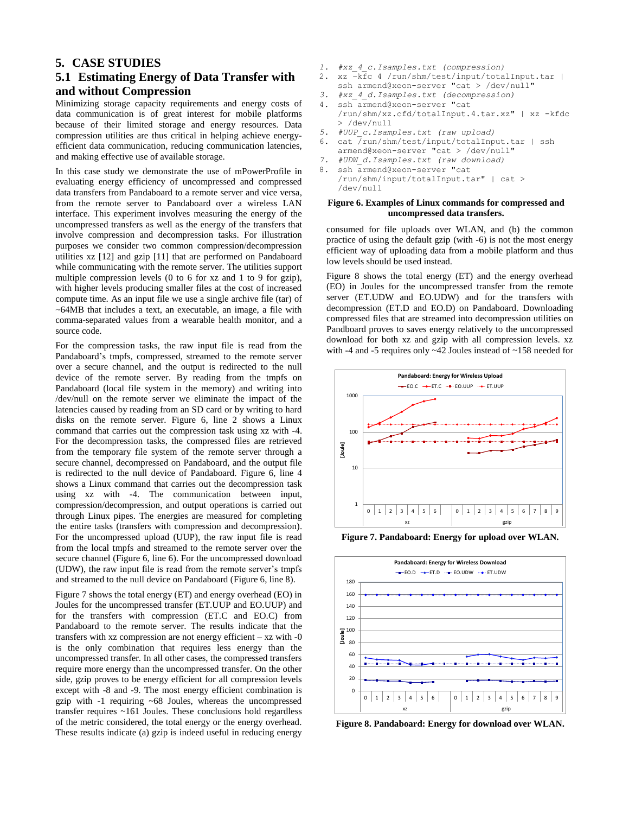## **5. CASE STUDIES**

# **5.1 Estimating Energy of Data Transfer with and without Compression**

Minimizing storage capacity requirements and energy costs of data communication is of great interest for mobile platforms because of their limited storage and energy resources. Data compression utilities are thus critical in helping achieve energyefficient data communication, reducing communication latencies, and making effective use of available storage.

In this case study we demonstrate the use of mPowerProfile in evaluating energy efficiency of uncompressed and compressed data transfers from Pandaboard to a remote server and vice versa, from the remote server to Pandaboard over a wireless LAN interface. This experiment involves measuring the energy of the uncompressed transfers as well as the energy of the transfers that involve compression and decompression tasks. For illustration purposes we consider two common compression/decompression utilities xz [12] and gzip [11] that are performed on Pandaboard while communicating with the remote server. The utilities support multiple compression levels (0 to 6 for xz and 1 to 9 for gzip), with higher levels producing smaller files at the cost of increased compute time. As an input file we use a single archive file (tar) of ~64MB that includes a text, an executable, an image, a file with comma-separated values from a wearable health monitor, and a source code.

For the compression tasks, the raw input file is read from the Pandaboard's tmpfs, compressed, streamed to the remote server over a secure channel, and the output is redirected to the null device of the remote server. By reading from the tmpfs on Pandaboard (local file system in the memory) and writing into /dev/null on the remote server we eliminate the impact of the latencies caused by reading from an SD card or by writing to hard disks on the remote server. [Figure 6,](#page-3-0) line 2 shows a Linux command that carries out the compression task using xz with -4. For the decompression tasks, the compressed files are retrieved from the temporary file system of the remote server through a secure channel, decompressed on Pandaboard, and the output file is redirected to the null device of Pandaboard. [Figure 6,](#page-3-0) line 4 shows a Linux command that carries out the decompression task using xz with -4. The communication between input, compression/decompression, and output operations is carried out through Linux pipes. The energies are measured for completing the entire tasks (transfers with compression and decompression). For the uncompressed upload (UUP), the raw input file is read from the local tmpfs and streamed to the remote server over the secure channel [\(Figure 6,](#page-3-0) line 6). For the uncompressed download (UDW), the raw input file is read from the remote server's tmpfs and streamed to the null device on Pandaboard [\(Figure 6,](#page-3-0) line 8).

[Figure 7](#page-3-1) shows the total energy (ET) and energy overhead (EO) in Joules for the uncompressed transfer (ET.UUP and EO.UUP) and for the transfers with compression (ET.C and EO.C) from Pandaboard to the remote server. The results indicate that the transfers with xz compression are not energy efficient – xz with -0 is the only combination that requires less energy than the uncompressed transfer. In all other cases, the compressed transfers require more energy than the uncompressed transfer. On the other side, gzip proves to be energy efficient for all compression levels except with -8 and -9. The most energy efficient combination is gzip with -1 requiring ~68 Joules, whereas the uncompressed transfer requires ~161 Joules. These conclusions hold regardless of the metric considered, the total energy or the energy overhead. These results indicate (a) gzip is indeed useful in reducing energy

- *1. #xz\_4\_c.Isamples.txt (compression)*
- 2. xz -kfc 4 /run/shm/test/input/totalInput.tar |
	- ssh armend@xeon-server "cat > /dev/null"
- *3. #xz\_4\_d.Isamples.txt (decompression)* 4. ssh armend@xeon-server "cat /run/shm/xz.cfd/totalInput.4.tar.xz" | xz -kfdc > /dev/null
- *5. #UUP\_c.Isamples.txt (raw upload)*
- 6. cat  $\frac{1}{\sqrt{r}}$ un/shm/test/input/totalInput.tar | ssh armend@xeon-server "cat > /dev/null"
- *7. #UDW\_d.Isamples.txt (raw download)*
- 8. ssh armend@xeon-server "cat /run/shm/input/totalInput.tar" | cat > /dev/null

#### <span id="page-3-0"></span>**Figure 6. Examples of Linux commands for compressed and uncompressed data transfers.**

consumed for file uploads over WLAN, and (b) the common practice of using the default gzip (with -6) is not the most energy efficient way of uploading data from a mobile platform and thus low levels should be used instead.

[Figure](#page-3-2) 8 shows the total energy (ET) and the energy overhead (EO) in Joules for the uncompressed transfer from the remote server (ET.UDW and EO.UDW) and for the transfers with decompression (ET.D and EO.D) on Pandaboard. Downloading compressed files that are streamed into decompression utilities on Pandboard proves to saves energy relatively to the uncompressed download for both xz and gzip with all compression levels. xz with -4 and -5 requires only ~42 Joules instead of ~158 needed for



**Figure 7. Pandaboard: Energy for upload over WLAN.**

<span id="page-3-1"></span>

<span id="page-3-2"></span>**Figure 8. Pandaboard: Energy for download over WLAN.**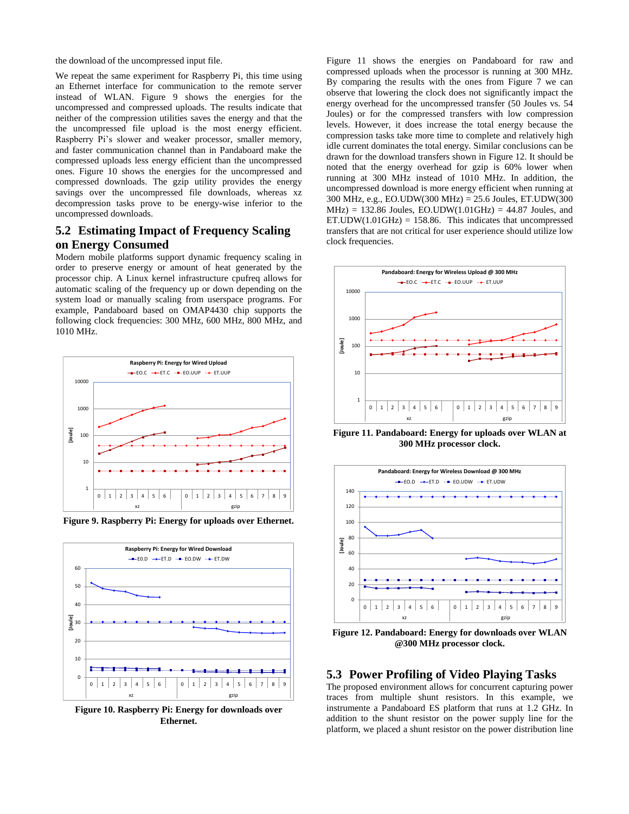the download of the uncompressed input file.

We repeat the same experiment for Raspberry Pi, this time using an Ethernet interface for communication to the remote server instead of WLAN. [Figure 9](#page-4-0) shows the energies for the uncompressed and compressed uploads. The results indicate that neither of the compression utilities saves the energy and that the the uncompressed file upload is the most energy efficient. Raspberry Pi's slower and weaker processor, smaller memory, and faster communication channel than in Pandaboard make the compressed uploads less energy efficient than the uncompressed ones. [Figure 10](#page-4-1) shows the energies for the uncompressed and compressed downloads. The gzip utility provides the energy savings over the uncompressed file downloads, whereas xz decompression tasks prove to be energy-wise inferior to the uncompressed downloads.

## **5.2 Estimating Impact of Frequency Scaling on Energy Consumed**

Modern mobile platforms support dynamic frequency scaling in order to preserve energy or amount of heat generated by the processor chip. A Linux kernel infrastructure cpufreq allows for automatic scaling of the frequency up or down depending on the system load or manually scaling from userspace programs. For example, Pandaboard based on OMAP4430 chip supports the following clock frequencies: 300 MHz, 600 MHz, 800 MHz, and 1010 MHz.



<span id="page-4-0"></span>**Figure 9. Raspberry Pi: Energy for uploads over Ethernet.** 



<span id="page-4-1"></span>**Figure 10. Raspberry Pi: Energy for downloads over Ethernet.**

[Figure 11](#page-4-2) shows the energies on Pandaboard for raw and compressed uploads when the processor is running at 300 MHz. By comparing the results with the ones from [Figure 7](#page-3-1) we can observe that lowering the clock does not significantly impact the energy overhead for the uncompressed transfer (50 Joules vs. 54 Joules) or for the compressed transfers with low compression levels. However, it does increase the total energy because the compression tasks take more time to complete and relatively high idle current dominates the total energy. Similar conclusions can be drawn for the download transfers shown in [Figure 12.](#page-4-3) It should be noted that the energy overhead for gzip is 60% lower when running at 300 MHz instead of 1010 MHz. In addition, the uncompressed download is more energy efficient when running at 300 MHz, e.g., EO.UDW(300 MHz) = 25.6 Joules, ET.UDW(300  $MHz$ ) = 132.86 Joules, EO.UDW(1.01GHz) = 44.87 Joules, and ET.UDW $(1.01$ GHz $)$  = 158.86. This indicates that uncompressed transfers that are not critical for user experience should utilize low clock frequencies.



<span id="page-4-2"></span>**Figure 11. Pandaboard: Energy for uploads over WLAN at 300 MHz processor clock.** 



<span id="page-4-3"></span>**Figure 12. Pandaboard: Energy for downloads over WLAN @300 MHz processor clock.** 

## **5.3 Power Profiling of Video Playing Tasks**

The proposed environment allows for concurrent capturing power traces from multiple shunt resistors. In this example, we instrumente a Pandaboard ES platform that runs at 1.2 GHz. In addition to the shunt resistor on the power supply line for the platform, we placed a shunt resistor on the power distribution line